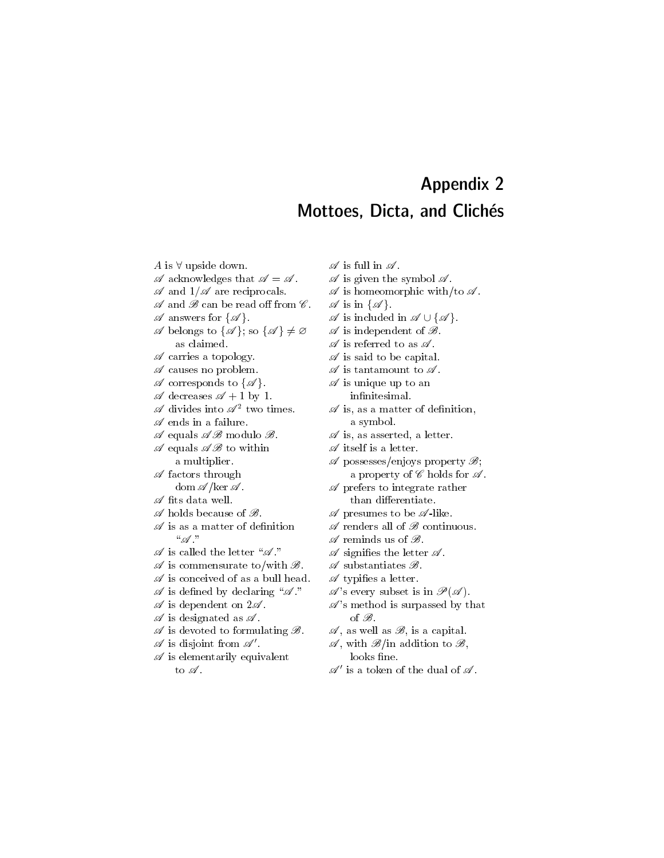## Appendix 2 Mottoes, Dicta, and Clichés

A is  $\forall$  upside down.

- $\mathscr A$  acknowledges that  $\mathscr A = \mathscr A$ .
- $\mathscr A$  and  $1/\mathscr A$  are reciprocals.
- $\mathscr A$  and  $\mathscr B$  can be read off from  $\mathscr C$ .
- $\mathscr A$  answers for  $\{\mathscr A\}.$
- $\mathscr A$  belongs to  $\{\mathscr A\}$ ; so  $\{\mathscr A\}\neq\varnothing$ as claimed.
- $\mathscr A$  carries a topology.
- $\mathscr A$  causes no problem.
- $\mathscr A$  corresponds to  $\{\mathscr A\}.$
- $\mathscr A$  decreases  $\mathscr A + 1$  by 1.
- $\mathscr A$  divides into  $\mathscr A^2$  two times.
- $\mathscr A$  ends in a failure.
- $\mathscr A$  equals  $\mathscr A\mathscr B$  modulo  $\mathscr B$ .
- $\mathscr A$  equals  $\mathscr A\mathscr B$  to within a multiplier.
- $\mathscr A$  factors through dom  $\mathscr{A}/\ker \mathscr{A}$ .
- $\mathscr A$  fits data well.
- $\mathscr A$  holds because of  $\mathscr B$ .
- $\mathscr A$  is as a matter of definition  $``\mathscr{A}"$
- $\mathscr A$  is called the letter " $\mathscr A$ "
- $\mathscr A$  is commensurate to/with  $\mathscr B$ .
- $\mathscr A$  is conceived of as a bull head.
- $\mathscr A$  is defined by declaring " $\mathscr A$ "
- $\mathscr A$  is dependent on  $2\mathscr A$ .
- $\mathscr A$  is designated as  $\mathscr A$ .
- $\mathscr A$  is devoted to formulating  $\mathscr B$ .
- $\mathscr A$  is disjoint from  $\mathscr A'$ .
- $\mathscr A$  is elementarily equivalent to  $\mathscr A$ .
- $\mathscr A$  is full in  $\mathscr A$ .
- $\mathscr A$  is given the symbol  $\mathscr A$ .
- $\mathscr A$  is homeomorphic with/to  $\mathscr A$ .
- $\mathscr A$  is in  $\{\mathscr A\}.$
- $\mathscr A$  is included in  $\mathscr A \cup \{\mathscr A\}.$
- $\mathscr A$  is independent of  $\mathscr B$ .
- $\mathscr A$  is referred to as  $\mathscr A$ .
- $\mathscr A$  is said to be capital.
- $\mathscr A$  is tantamount to  $\mathscr A$ .
- $\mathscr A$  is unique up to an

infinitesimal.

- $\mathscr A$  is, as a matter of definition, a symbol.
- $\mathscr A$  is, as asserted, a letter.
- $\mathscr A$  itself is a letter.
- $\mathscr A$  possesses/enjoys property  $\mathscr B$ ; a property of  $\mathscr C$  holds for  $\mathscr A$ .
- $\mathscr A$  prefers to integrate rather than differentiate.
- $\mathscr A$  presumes to be  $\mathscr A$ -like.
- $\mathscr A$  renders all of  $\mathscr B$  continuous.
- $\mathscr A$  reminds us of  $\mathscr B$ .
- $\mathscr A$  signifies the letter  $\mathscr A$ .
- $\mathscr A$  substantiates  $\mathscr B$ .
- $\mathscr A$  typifies a letter.
- $\mathscr{A}$ 's every subset is in  $\mathscr{P}(\mathscr{A})$ .
- $\mathscr{A}$ 's method is surpassed by that of  $\mathscr{B}$ .
- $\mathscr{A}$ , as well as  $\mathscr{B}$ , is a capital.
- $\mathscr{A}$ , with  $\mathscr{B}/\text{in}$  addition to  $\mathscr{B}$ , looks fine.
- $\mathscr{A}'$  is a token of the dual of  $\mathscr{A}.$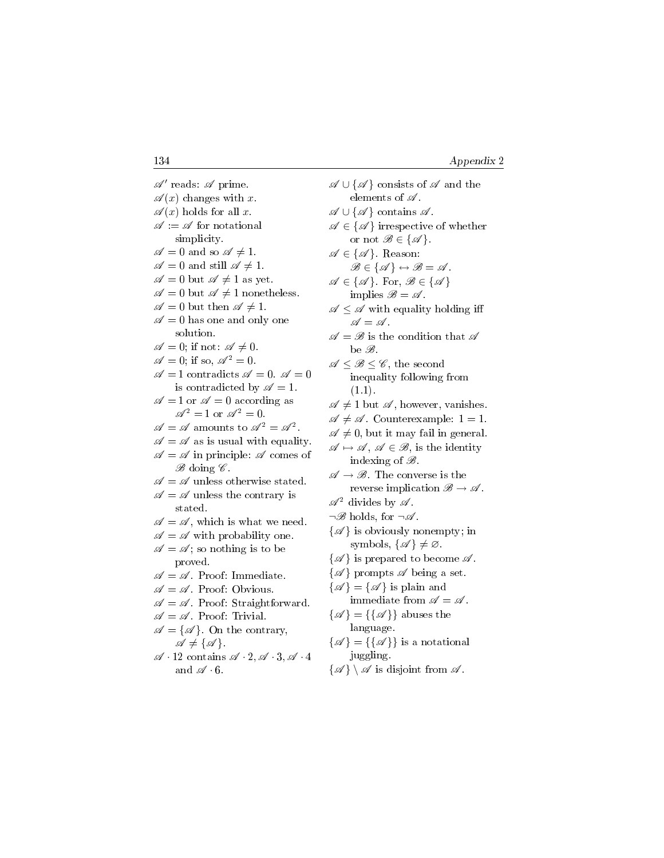$\mathscr{A}'$  reads:  $\mathscr{A}$  prime.  $\mathscr{A}(x)$  changes with x.  $\mathscr{A}(x)$  holds for all x.  $\mathscr{A} := \mathscr{A}$  for notational simplicity.  $\mathscr{A} = 0$  and so  $\mathscr{A} \neq 1$ .  $\mathscr{A} = 0$  and still  $\mathscr{A} \neq 1$ .  $\mathscr{A}=0$  but  $\mathscr{A}\neq 1$  as yet.  $\mathscr{A}=0$  but  $\mathscr{A}\neq 1$  nonetheless.  $\mathscr{A} = 0$  but then  $\mathscr{A} \neq 1$ .  $\mathscr{A} = 0$  has one and only one solution.  $\mathscr{A} = 0$ ; if not:  $\mathscr{A} \neq 0$ .  $\mathscr{A}=0$ ; if so,  $\mathscr{A}^2=0$ .  $\mathscr{A} = 1$  contradicts  $\mathscr{A} = 0$ .  $\mathscr{A} = 0$ is contradicted by  $\mathscr{A} = 1$ .  $\mathscr{A} = 1$  or  $\mathscr{A} = 0$  according as  $\mathscr{A}^2 = 1$  or  $\mathscr{A}^2 = 0$ .  $\mathscr{A} = \mathscr{A}$  amounts to  $\mathscr{A}^2 = \mathscr{A}^2$ .  $\mathscr{A} = \mathscr{A}$  as is usual with equality.  $\mathscr{A} = \mathscr{A}$  in principle:  $\mathscr{A}$  comes of  $\mathscr{B}$  doing  $\mathscr{C}$ .  $\mathscr{A} = \mathscr{A}$  unless otherwise stated.  $\mathscr{A}=\mathscr{A}$  unless the contrary is stated.  $\mathscr{A} = \mathscr{A}$ , which is what we need.  $\mathscr{A} = \mathscr{A}$  with probability one.  $\mathscr{A} = \mathscr{A}$ ; so nothing is to be proved.  $\mathscr{A} = \mathscr{A}$ . Proof: Immediate.  $\mathscr{A} = \mathscr{A}$ . Proof: Obvious.  $\mathscr{A} = \mathscr{A}$ . Proof: Straightforward.  $\mathscr{A} = \mathscr{A}$ . Proof: Trivial.  $\mathscr{A} = {\mathscr{A}}$ . On the contrary,  $\mathscr{A} \neq {\mathscr{A}}.$  $\mathscr{A} \cdot 12$  contains  $\mathscr{A} \cdot 2$ ,  $\mathscr{A} \cdot 3$ ,  $\mathscr{A} \cdot 4$ and  $\mathscr{A} \cdot 6$ .

 $\mathscr{A} \cup {\mathscr{A}}$  consists of  $\mathscr{A}$  and the elements of  $\mathscr A$ .  $\mathscr{A} \cup {\{\mathscr{A}\}}$  contains  $\mathscr{A}$ .  $\mathscr{A} \in {\{\mathscr{A}\}}$  irrespective of whether or not  $\mathscr{B} \in {\{\mathscr{A}\}}$ .  $\mathscr{A} \in {\{\mathscr{A}\}}$ . Reason:  $\mathscr{B} \in {\{\mathscr{A}\}} \leftrightarrow \mathscr{B} = \mathscr{A}.$  $\mathscr{A} \in \{ \mathscr{A} \}.$  For,  $\mathscr{B} \in \{ \mathscr{A} \}$ implies  $\mathscr{B} = \mathscr{A}$ .  $\mathscr{A} \leq \mathscr{A}$  with equality holding iff  $\mathscr{A} = \mathscr{A}$  .  $\mathscr{A} = \mathscr{B}$  is the condition that  $\mathscr{A}$ be B.  $\mathscr{A} \leq \mathscr{B} \leq \mathscr{C}$ , the second inequality following from  $(1.1).$  $\mathscr{A} \neq 1$  but  $\mathscr{A}$ , however, vanishes.  $\mathscr{A} \neq \mathscr{A}$ . Counterexample:  $1 = 1$ .  $\mathscr{A} \neq 0$ , but it may fail in general.  $\mathscr{A} \mapsto \mathscr{A}, \mathscr{A} \in \mathscr{B}$ , is the identity indexing of  $\mathscr{B}$ .  $\mathscr{A} \to \mathscr{B}$ . The converse is the reverse implication  $\mathscr{B} \to \mathscr{A}$ .  $\mathscr{A}^2$  divides by  $\mathscr{A}$ .  $\neg \mathscr{B}$  holds, for  $\neg \mathscr{A}$ .  $\{\mathscr{A}\}\$ is obviously nonempty; in symbols,  $\{\mathscr{A}\}\neq\emptyset$ .  $\{\mathscr{A}\}\$ is prepared to become  $\mathscr{A}$ .  $\{\mathscr{A}\}\$ prompts  $\mathscr A$  being a set.  $\{\mathscr{A}\} = \{\mathscr{A}\}\$ is plain and immediate from  $\mathscr{A} = \mathscr{A}$ .  $\{\mathscr{A}\}=\{\{\mathscr{A}\}\}\$ abuses the language.  $\{\mathscr{A}\}=\{\{\mathscr{A}\}\}\$ is a notational juggling.

 $\{\mathscr{A}\}\setminus\mathscr{A}$  is disjoint from  $\mathscr{A}$ .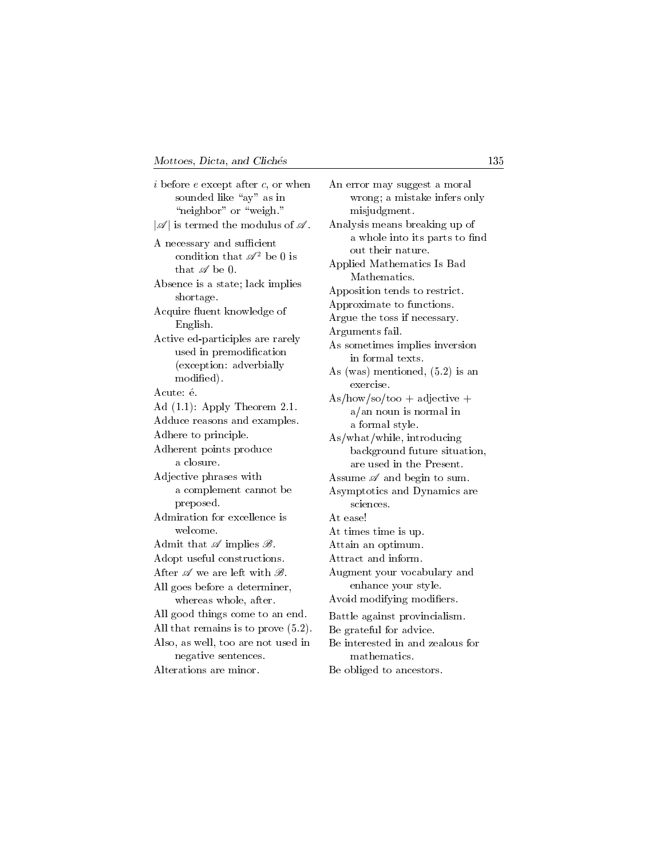i before  $e$  except after  $c$ , or when sounded like " $ay$ " as in "neighbor" or "weigh."  $|\mathscr{A}|$  is termed the modulus of  $\mathscr{A}$ . A necessary and sufficient condition that  $\mathscr{A}^2$  be 0 is that  $\mathscr A$  be 0. Absence is a state; lack implies shortage. Acquire fluent knowledge of English. Active ed-participles are rarely used in premodication (exception: adverbially modied). Acute: é. Ad (1.1): Apply Theorem 2.1. Adduce reasons and examples. Adhere to principle. Adherent points produce a closure. Adjective phrases with a complement cannot be preposed. Admiration for excellence is welcome. Admit that  $\mathscr A$  implies  $\mathscr B$ . Adopt useful constructions. After  $\mathscr A$  we are left with  $\mathscr B$ . All goes before a determiner, whereas whole, after. All good things come to an end. All that remains is to prove (5.2). Also, as well, too are not used in negative sentences. Alterations are minor.

An error may suggest a moral wrong; a mistake infers only misjudgment. Analysis means breaking up of a whole into its parts to find out their nature. Applied Mathematics Is Bad Mathematics. Apposition tends to restrict. Approximate to functions. Argue the toss if necessary. Arguments fail. As sometimes implies inversion in formal texts. As (was) mentioned, (5.2) is an exercise.  $As/how/so/too + adjective +$ a/an noun is normal in a formal style. As/what/while, introducing background future situation, are used in the Present. Assume  $\mathscr A$  and begin to sum. Asymptotics and Dynamics are sciences. At ease! At times time is up. Attain an optimum. Attract and inform. Augment your vocabulary and enhance your style. Avoid modifying modifiers. Battle against provincialism. Be grateful for advice. Be interested in and zealous for mathematics.

Be obliged to ancestors.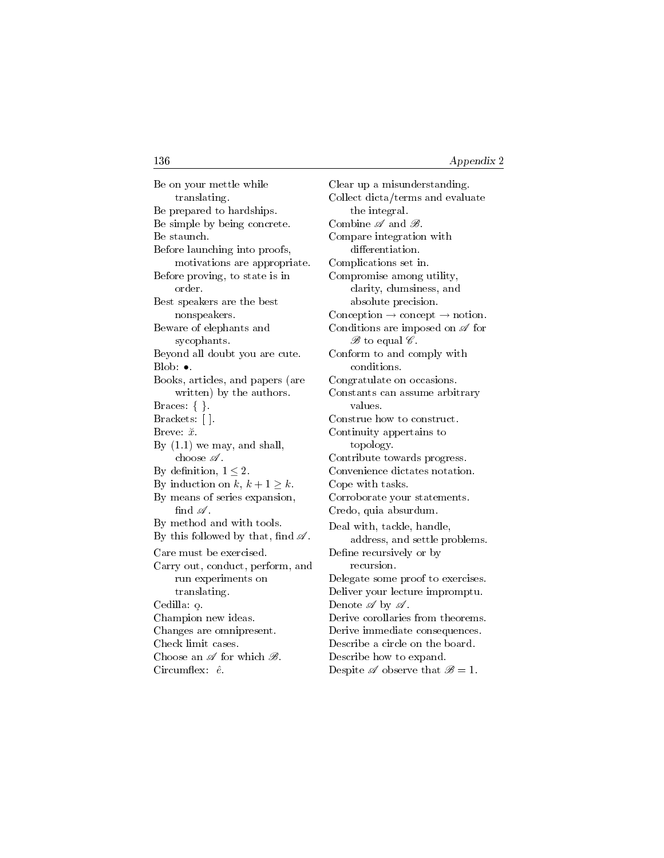Be on your mettle while translating. Be prepared to hardships. Be simple by being concrete. Be staunch. Before launching into proofs, motivations are appropriate. Before proving, to state is in order. Best speakers are the best nonspeakers. Beware of elephants and sycophants. Beyond all doubt you are cute. Blob: •. Books, articles, and papers (are written) by the authors. Braces: { }. Brackets: [ ]. Breve:  $\check{x}$ . By  $(1.1)$  we may, and shall, choose  $\mathscr A$ . By definition,  $1 \leq 2$ . By induction on k,  $k + 1 \ge k$ . By means of series expansion, find  $\mathscr A$ . By method and with tools. By this followed by that, find  $\mathscr A$ . Care must be exercised. Carry out, conduct, perform, and run experiments on translating. Cedilla: o. Champion new ideas. Changes are omnipresent. Check limit cases. Choose an  $\mathscr A$  for which  $\mathscr B$ .  $Circumflex: \hat{e}$ .

Clear up a misunderstanding. Collect dicta/terms and evaluate the integral. Combine  $\mathscr A$  and  $\mathscr B$ . Compare integration with differentiation. Complications set in. Compromise among utility, clarity, clumsiness, and absolute precision.  $\text{Conception} \rightarrow \text{concept} \rightarrow \text{notion}.$ Conditions are imposed on  $\mathscr A$  for  $\mathscr{B}$  to equal  $\mathscr{C}$ . Conform to and comply with conditions. Congratulate on occasions. Constants can assume arbitrary values. Construe how to construct. Continuity appertains to topology. Contribute towards progress. Convenience dictates notation. Cope with tasks. Corroborate your statements. Credo, quia absurdum. Deal with, tackle, handle, address, and settle problems. Define recursively or by recursion. Delegate some proof to exercises. Deliver your lecture impromptu. Denote  $\mathscr A$  by  $\mathscr A$ . Derive corollaries from theorems. Derive immediate consequences. Describe a circle on the board. Describe how to expand. Despite  $\mathscr A$  observe that  $\mathscr B=1$ .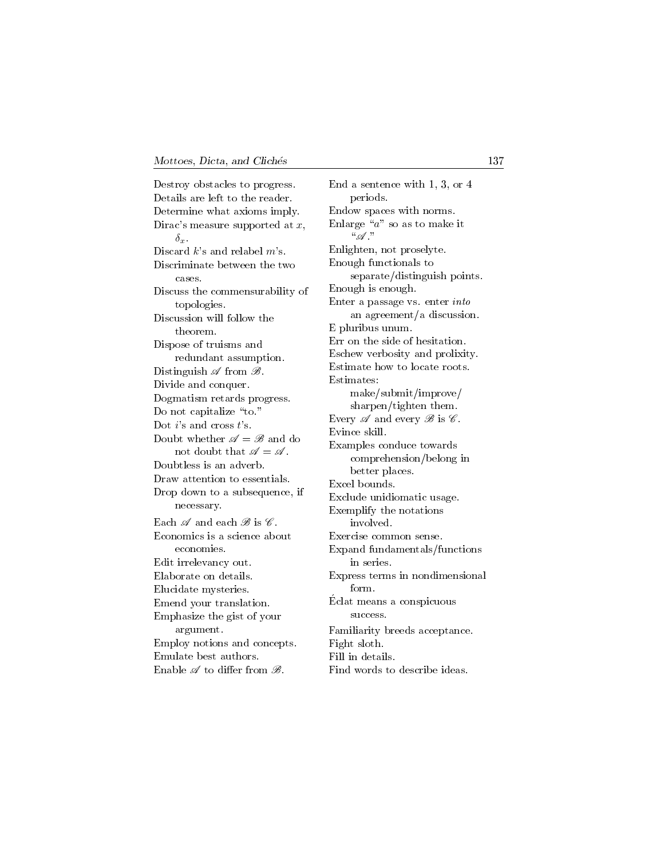Destroy obstacles to progress. Details are left to the reader. Determine what axioms imply. Dirac's measure supported at  $x$ ,  $\delta_r$ . Discard  $k$ 's and relabel  $m$ 's. Discriminate between the two cases. Discuss the commensurability of topologies. Discussion will follow the theorem. Dispose of truisms and redundant assumption. Distinguish  $\mathscr A$  from  $\mathscr B$ . Divide and conquer. Dogmatism retards progress. Do not capitalize "to." Dot  $i$ 's and cross  $t$ 's. Doubt whether  $\mathscr{A} = \mathscr{B}$  and do not doubt that  $\mathscr{A} = \mathscr{A}$ . Doubtless is an adverb. Draw attention to essentials. Drop down to a subsequence, if necessary. Each  $\mathscr A$  and each  $\mathscr B$  is  $\mathscr C$ . Economics is a science about economies. Edit irrelevancy out. Elaborate on details. Elucidate mysteries. Emend your translation. Emphasize the gist of your argument. Employ notions and concepts. Emulate best authors. Enable  $\mathscr A$  to differ from  $\mathscr B$ .

End a sentence with 1, 3, or 4 periods. Endow spaces with norms. Enlarge " $a$ " so as to make it  $\mathscr A$  ." Enlighten, not proselyte. Enough functionals to separate/distinguish points. Enough is enough. Enter a passage vs. enter into an agreement/a discussion. E pluribus unum. Err on the side of hesitation. Eschew verbosity and prolixity. Estimate how to locate roots. Estimates: make/submit/improve/ sharpen/tighten them. Every  $\mathscr A$  and every  $\mathscr B$  is  $\mathscr C$ . Evince skill. Examples conduce towards comprehension/belong in better places. Excel bounds. Exclude unidiomatic usage. Exemplify the notations involved. Exercise common sense. Expand fundamentals/functions in series. Express terms in nondimensional form. Eclat means a conspicuous success. Familiarity breeds acceptance. Fight sloth. Fill in details. Find words to describe ideas.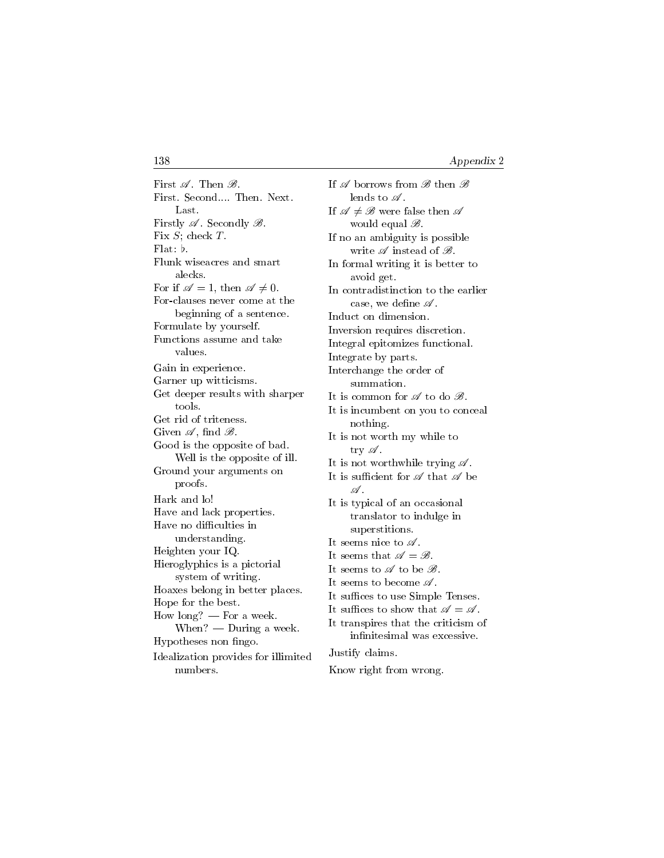First  $\mathscr A$ . Then  $\mathscr B$ . First. Second.... Then. Next. Last. Firstly  $\mathscr A$ . Secondly  $\mathscr B$ . Fix S; check T. Flat:  $\flat$ . Flunk wiseacres and smart alecks. For if  $\mathscr{A} = 1$ , then  $\mathscr{A} \neq 0$ . For-clauses never come at the beginning of a sentence. Formulate by yourself. Functions assume and take values. Gain in experience. Garner up witticisms. Get deeper results with sharper tools. Get rid of triteness. Given  $\mathscr A$ , find  $\mathscr B$ . Good is the opposite of bad. Well is the opposite of ill. Ground your arguments on proofs. Hark and lo! Have and lack properties. Have no difficulties in understanding. Heighten your IQ. Hieroglyphics is a pictorial system of writing. Hoaxes belong in better places. Hope for the best. How long?  $-$  For a week.  $When? — During a week.$ Hypotheses non fingo. Idealization provides for illimited numbers.

If  $\mathscr A$  borrows from  $\mathscr B$  then  $\mathscr B$ lends to  $\mathscr A$ . If  $\mathscr{A} \neq \mathscr{B}$  were false then  $\mathscr{A}$ would equal  $\mathscr{B}$ . If no an ambiguity is possible write  $\mathscr A$  instead of  $\mathscr B$ . In formal writing it is better to avoid get. In contradistinction to the earlier case, we define  $\mathscr A$ . Induct on dimension. Inversion requires discretion. Integral epitomizes functional. Integrate by parts. Interchange the order of summation. It is common for  $\mathscr A$  to do  $\mathscr B$ . It is incumbent on you to conceal nothing. It is not worth my while to try  $\mathscr A$ . It is not worthwhile trying  $\mathscr A$ . It is sufficient for  $\mathscr A$  that  $\mathscr A$  be  $\mathscr A$  . It is typical of an occasional translator to indulge in superstitions. It seems nice to  $\mathscr A$ . It seems that  $\mathscr{A} = \mathscr{B}$ . It seems to  $\mathscr A$  to be  $\mathscr B$ . It seems to become  $\mathscr A$ . It suffices to use Simple Tenses. It suffices to show that  $\mathscr{A} = \mathscr{A}$ . It transpires that the criticism of infinitesimal was excessive. Justify claims.

Know right from wrong.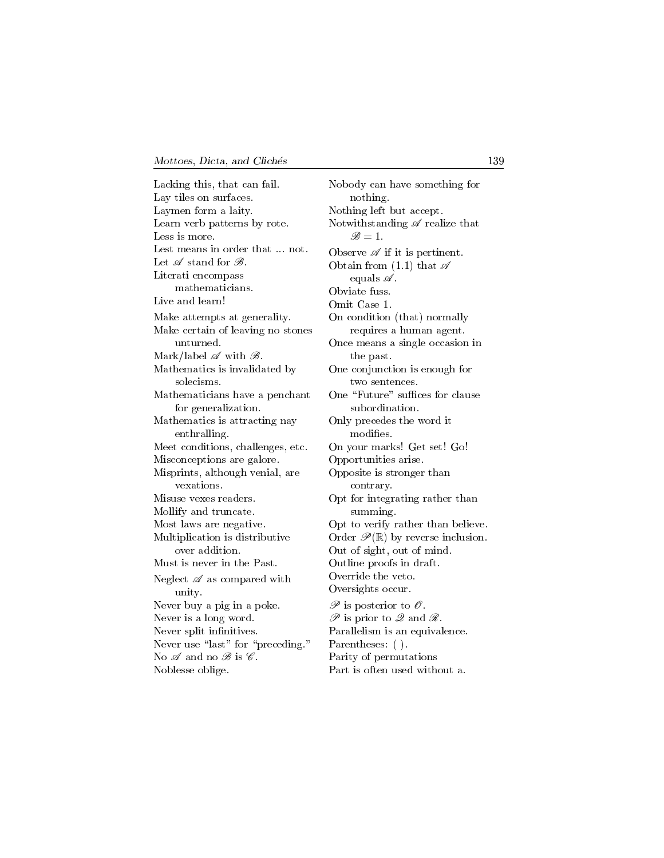Lacking this, that can fail. Lay tiles on surfaces. Laymen form a laity. Learn verb patterns by rote. Less is more. Lest means in order that ... not. Let  $\mathscr A$  stand for  $\mathscr B$ . Literati encompass mathematicians. Live and learn! Make attempts at generality. Make certain of leaving no stones unturned. Mark/label  $\mathscr A$  with  $\mathscr B$ . Mathematics is invalidated by solecisms. Mathematicians have a penchant for generalization. Mathematics is attracting nay enthralling. Meet conditions, challenges, etc. Misconceptions are galore. Misprints, although venial, are vexations. Misuse vexes readers. Mollify and truncate. Most laws are negative. Multiplication is distributive over addition. Must is never in the Past. Neglect  $\mathscr A$  as compared with unity. Never buy a pig in a poke. Never is a long word. Never split infinitives. Never use "last" for "preceding." No  $\mathscr A$  and no  $\mathscr B$  is  $\mathscr C$ . Noblesse oblige.

Nobody can have something for nothing. Nothing left but accept. Notwithstanding  $\mathscr A$  realize that  $\mathscr{B}=1$ . Observe  $\mathscr A$  if it is pertinent. Obtain from  $(1.1)$  that  $\mathscr A$ equals  $\mathscr A$ . Obviate fuss. Omit Case 1. On condition (that) normally requires a human agent. Once means a single occasion in the past. One conjunction is enough for two sentences. One "Future" suffices for clause subordination. Only precedes the word it modies. On your marks! Get set! Go! Opportunities arise. Opposite is stronger than contrary. Opt for integrating rather than summing. Opt to verify rather than believe. Order  $\mathscr{P}(\mathbb{R})$  by reverse inclusion. Out of sight, out of mind. Outline proofs in draft. Override the veto. Oversights occur.  $\mathscr P$  is posterior to  $\mathscr O$ .  $\mathscr P$  is prior to  $\mathscr Q$  and  $\mathscr R$ . Parallelism is an equivalence. Parentheses: ( ). Parity of permutations Part is often used without a.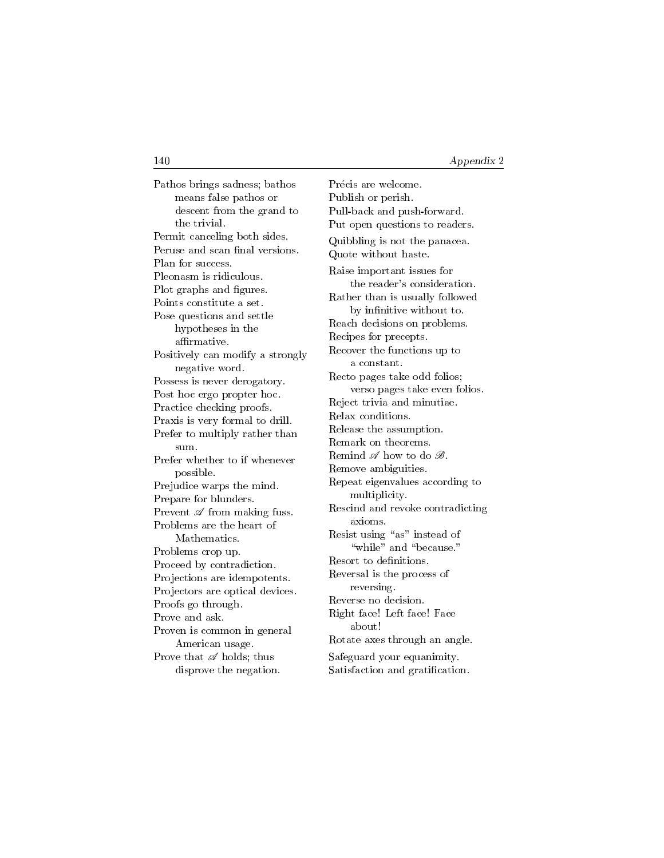Pathos brings sadness; bathos means false pathos or descent from the grand to the trivial. Permit canceling both sides. Peruse and scan final versions. Plan for success. Pleonasm is ridiculous. Plot graphs and figures. Points constitute a set. Pose questions and settle hypotheses in the affirmative. Positively can modify a strongly negative word. Possess is never derogatory. Post hoc ergo propter hoc. Practice checking proofs. Praxis is very formal to drill. Prefer to multiply rather than sum. Prefer whether to if whenever possible. Prejudice warps the mind. Prepare for blunders. Prevent  $\mathscr A$  from making fuss. Problems are the heart of Mathematics. Problems crop up. Proceed by contradiction. Projections are idempotents. Projectors are optical devices. Proofs go through. Prove and ask. Proven is common in general American usage. Prove that  $\mathscr A$  holds; thus disprove the negation.

Précis are welcome. Publish or perish. Pull-back and push-forward. Put open questions to readers. Quibbling is not the panacea. Quote without haste. Raise important issues for the reader's consideration. Rather than is usually followed by infinitive without to. Reach decisions on problems. Recipes for precepts. Recover the functions up to a constant. Recto pages take odd folios; verso pages take even folios. Reject trivia and minutiae. Relax conditions. Release the assumption. Remark on theorems. Remind  $\mathscr A$  how to do  $\mathscr B$ . Remove ambiguities. Repeat eigenvalues according to multiplicity. Rescind and revoke contradicting axioms. Resist using "as" instead of "while" and "because." Resort to definitions. Reversal is the process of reversing. Reverse no decision. Right face! Left face! Face about! Rotate axes through an angle. Safeguard your equanimity. Satisfaction and gratification.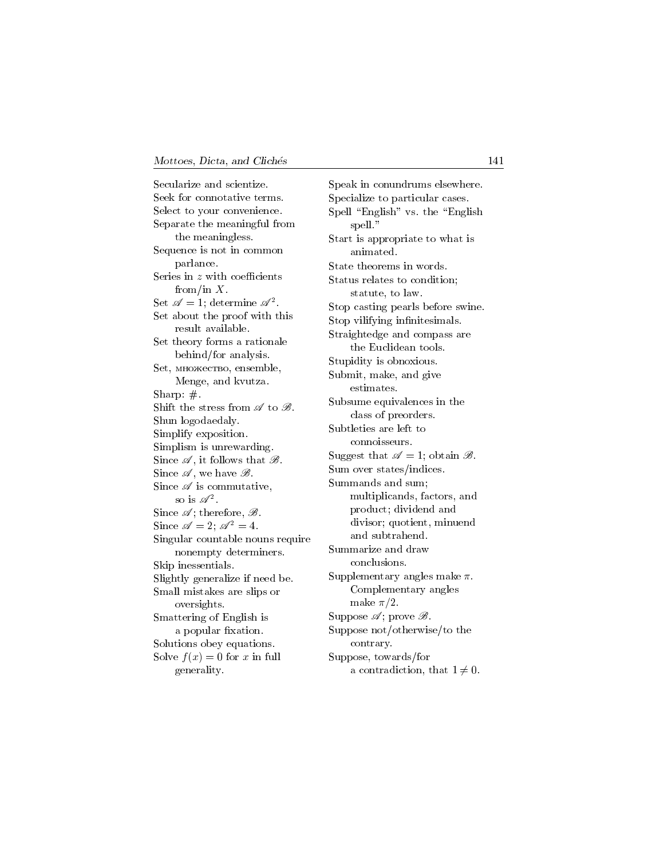Secularize and scientize. Seek for connotative terms. Select to your convenience. Separate the meaningful from the meaningless. Sequence is not in common parlance. Series in  $z$  with coefficients from/in  $X$ . Set  $\mathscr{A} = 1$ ; determine  $\mathscr{A}^2$ . Set about the proof with this result available. Set theory forms a rationale behind/for analysis. Set, множество, ensemble, Menge, and kvutza. Sharp: #. Shift the stress from  $\mathscr A$  to  $\mathscr B$ . Shun logodaedaly. Simplify exposition. Simplism is unrewarding. Since  $\mathscr{A}$ , it follows that  $\mathscr{B}$ . Since  $\mathscr A$ , we have  $\mathscr B$ . Since  $\mathscr A$  is commutative, so is  $\mathscr{A}^2$ . Since  $\mathscr{A}$ ; therefore,  $\mathscr{B}$ . Since  $\mathscr{A} = 2$ ;  $\mathscr{A}^2 = 4$ . Singular countable nouns require nonempty determiners. Skip inessentials. Slightly generalize if need be. Small mistakes are slips or oversights. Smattering of English is a popular fixation. Solutions obey equations. Solve  $f(x) = 0$  for x in full generality.

Speak in conundrums elsewhere. Specialize to particular cases. Spell "English" vs. the "English" spell." Start is appropriate to what is animated. State theorems in words. Status relates to condition; statute, to law. Stop casting pearls before swine. Stop vilifying infinitesimals. Straightedge and compass are the Euclidean tools. Stupidity is obnoxious. Submit, make, and give estimates. Subsume equivalences in the class of preorders. Subtleties are left to connoisseurs. Suggest that  $\mathscr{A} = 1$ ; obtain  $\mathscr{B}$ . Sum over states/indices. Summands and sum; multiplicands, factors, and product; dividend and divisor; quotient, minuend and subtrahend. Summarize and draw conclusions. Supplementary angles make  $\pi$ . Complementary angles make  $\pi/2$ . Suppose  $\mathscr{A}$ ; prove  $\mathscr{B}$ . Suppose not/otherwise/to the contrary. Suppose, towards/for a contradiction, that  $1 \neq 0$ .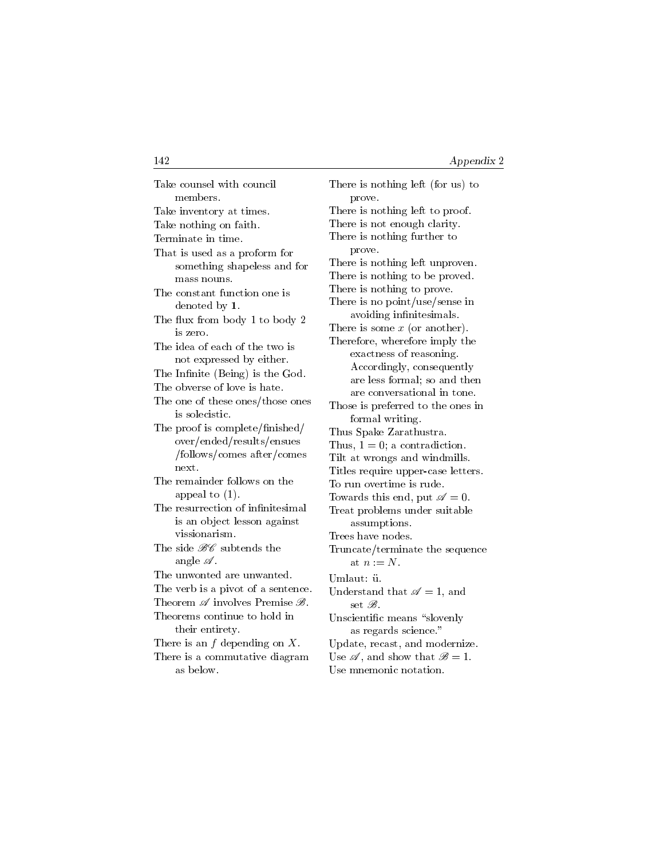| Take counsel with council                                     |
|---------------------------------------------------------------|
| members.                                                      |
| Take inventory at times.                                      |
| Take nothing on faith.                                        |
| Terminate in time.                                            |
| That is used as a proform for                                 |
| something shapeless and for                                   |
| mass nouns.                                                   |
| The constant function one is                                  |
| denoted by $1$ .                                              |
| The flux from body 1 to body 2                                |
| is zero.                                                      |
| The idea of each of the two is                                |
| not expressed by either.                                      |
| The Infinite (Being) is the God.                              |
| The obverse of love is hate.                                  |
| The one of these ones/those ones                              |
| is solecistic.                                                |
| The proof is complete/finished/                               |
| over/ended/results/ensues                                     |
| /follows/comes after/comes                                    |
| next.                                                         |
| The remainder follows on the                                  |
| appeal to $(1)$ .                                             |
| The resurrection of infinitesimal                             |
| is an object lesson against                                   |
| vissionarism.                                                 |
| The side $\mathscr{B}\hspace{-0.5pt}\mathscr{C}$ subtends the |
| angle $\mathscr A$ .                                          |
| The unwonted are unwanted.                                    |
| The verb is a pivot of a sentence.                            |
| Theorem $\mathscr A$ involves Premise $\mathscr B$ .          |
| Theorems continue to hold in                                  |
| their entirety.                                               |
| There is an $f$ depending on $X$ .                            |
| There is a commutative diagram                                |
| as below.                                                     |

| There is nothing left (for us) to                     |
|-------------------------------------------------------|
| prove.                                                |
| There is nothing left to proof.                       |
| There is not enough clarity.                          |
| There is nothing further to                           |
| prove.                                                |
| There is nothing left unproven.                       |
| There is nothing to be proved.                        |
| There is nothing to prove.                            |
| There is no point/use/sense in                        |
| avoiding infinitesimals.                              |
| There is some $x$ (or another).                       |
| Therefore, wherefore imply the                        |
| exactness of reasoning.                               |
| Accordingly, consequently                             |
| are less formal; so and then                          |
| are conversational in tone.                           |
| Those is preferred to the ones in                     |
| formal writing.                                       |
| Thus Spake Zarathustra.                               |
| Thus, $1 = 0$ ; a contradiction.                      |
| Tilt at wrongs and windmills.                         |
| Titles require upper-case letters.                    |
| To run overtime is rude.                              |
| Towards this end, put $\mathscr{A}=0$ .               |
| Treat problems under suitable                         |
| assumptions.                                          |
| Trees have nodes.                                     |
| Truncate/terminate the sequence                       |
| at $n = N$ .                                          |
| Umlaut: ü.                                            |
| Understand that $\mathscr{A} = 1$ , and               |
| set B.                                                |
| Unscientific means "slovenly                          |
| as regards science."                                  |
| Update, recast, and modernize.                        |
| Use $\mathscr{A}$ , and show that $\mathscr{B} = 1$ . |
| Use mnemonic notation.                                |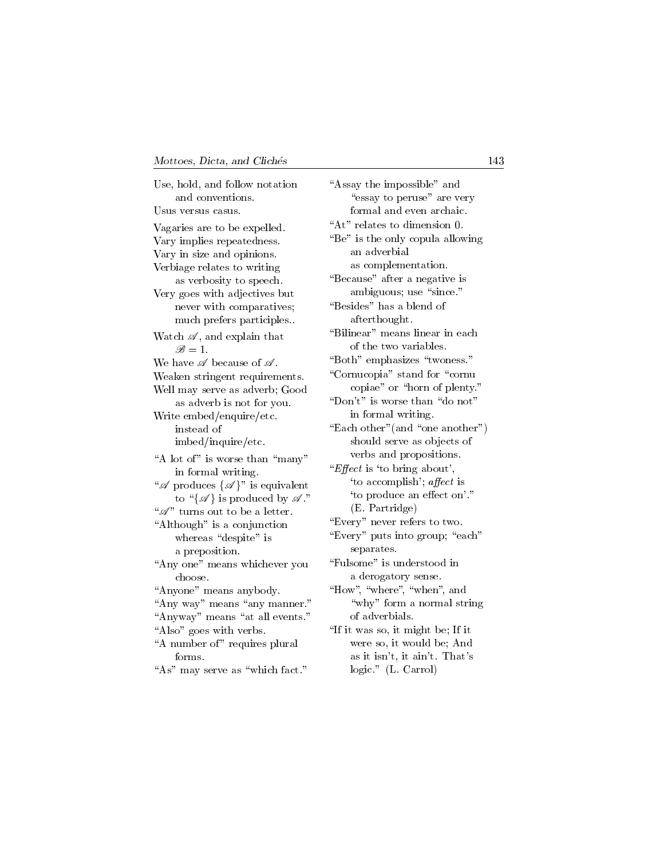| Use, hold, and follow notation                              | "Assay the imp           |
|-------------------------------------------------------------|--------------------------|
| and conventions.                                            | "essay to p              |
| Usus versus casus.                                          | formal and               |
| Vagaries are to be expelled.                                | "At" relates to          |
| Vary implies repeatedness.                                  | "Be" is the onl          |
| Vary in size and opinions.                                  | an adverbi               |
| Verbiage relates to writing                                 | as complei               |
| as verbosity to speech.                                     | "Because" afte           |
| Very goes with adjectives but                               | ambiguous                |
| never with comparatives;                                    | "Besides" has            |
| much prefers participles                                    | afterthoug               |
| Watch $\mathscr{A},$ and explain that                       | "Bilinear" mea           |
| $\mathscr{B}=1$ .                                           | of the two $\,$          |
| We have $\mathscr A$ because of $\mathscr A$ .              | "Both" empha             |
| Weaken stringent requirements.                              | "Cornucopia"             |
| Well may serve as adverb; Good                              | copiae" or               |
| as adverb is not for you.                                   | "Don't" is wor           |
| Write embed/enquire/etc.                                    | in formal                |
| instead of                                                  | "Each other" (a          |
| imbed/inquire/etc.                                          | should ser               |
| "A lot of" is worse than "many"                             | verbs and                |
| in formal writing.                                          | " <i>Effect</i> is 'to b |
| " $\mathscr{A}$ produces $\{\mathscr{A}\}\$ " is equivalent | 'to accomp               |
| to " $\{\mathscr{A}\}\$ is produced by $\mathscr{A}$ ."     | 'to produc               |
| " $\mathscr{A}$ " turns out to be a letter.                 | (E. Partrio              |
| "Although" is a conjunction                                 | "Every" never            |
| whereas "despite" is                                        | "Every" puts i           |
| a preposition.                                              | separates.               |
| "Any one" means whichever you                               | "Fulsome" is u           |
| choose.                                                     | a derogato               |
| "Anyone" means anybody.                                     | "How", "where            |
| "Any way" means "any manner."                               | "why" for                |
| "Anyway" means "at all events."                             | of adverbia              |
| "Also" goes with verbs.                                     | "If it was so, it        |
| "A number of" requires plural                               | were so, it              |
| forms.                                                      | as it isn't,             |
| "As" may serve as "which fact."                             | $logic."$ (L.            |

possible" and peruse" are very d even archaic. dimension 0. ly copula allowing ial mentation. er a negative is s; use "since." a blend of  $z$ ht. ans linear in each variables. sizes "twoness." stand for "cornu " horn of plenty."  $\mathop{\rm res}\nolimits$  than  $\mathop{\rm "do}\nolimits$  not" writing. and "one another") ve as objects of propositions.  $\text{ring about'},$ plish'; affect is ce an effect on'."  $\text{dge}$  $\operatorname{refers}$  to two. into group; "each"  $understood$  in bry sense.  $\mathbb{R}^n$ , "when", and m a normal string als. might be; If it would be; And it ain't. That's logic." (L. Carrol)